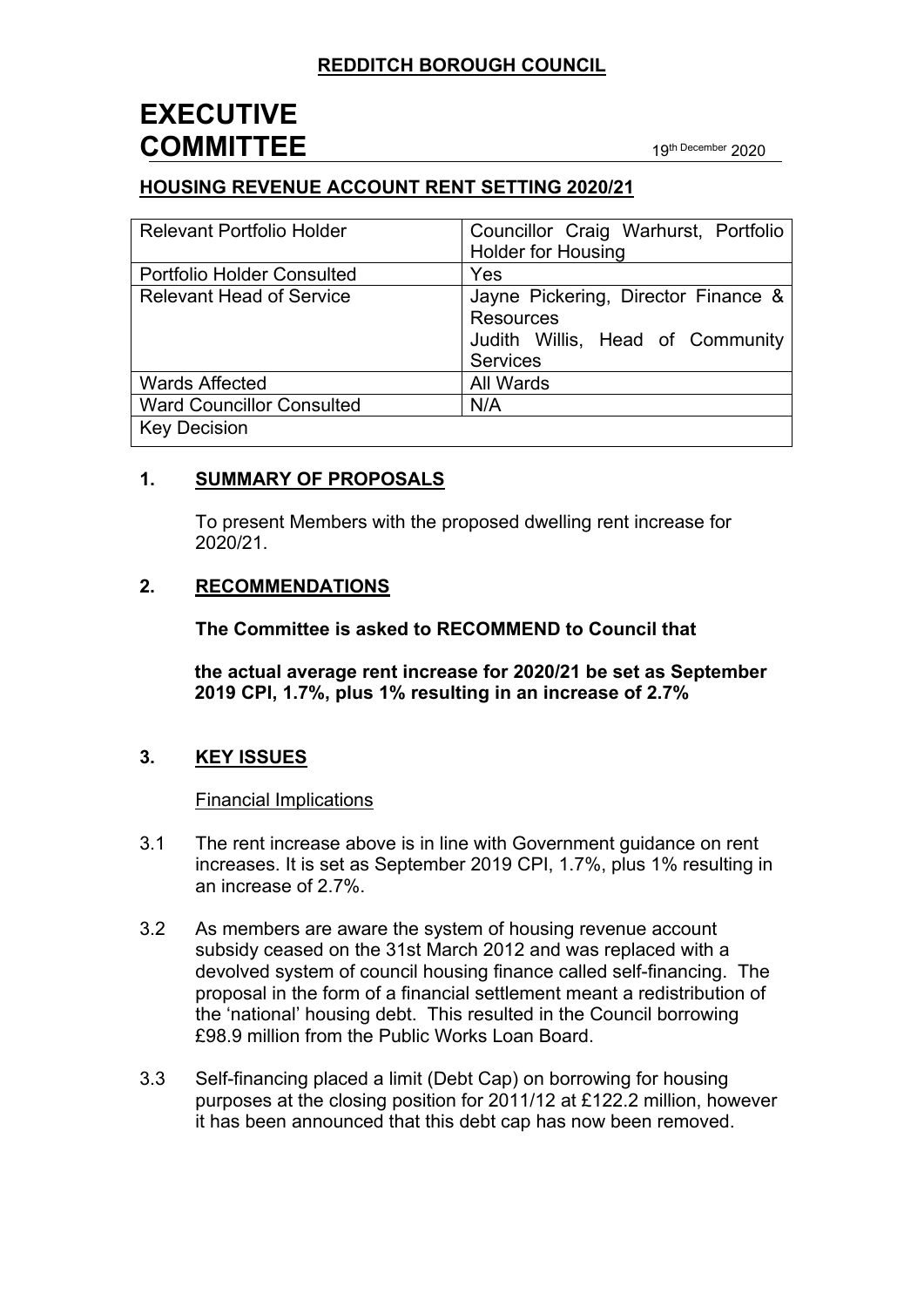# **EXECUTIVE COMMITTEE** <sup>19</sup>th December <sup>2020</sup>

## **HOUSING REVENUE ACCOUNT RENT SETTING 2020/21**

| <b>Relevant Portfolio Holder</b>  | Councillor Craig Warhurst, Portfolio<br><b>Holder for Housing</b>                                              |
|-----------------------------------|----------------------------------------------------------------------------------------------------------------|
| <b>Portfolio Holder Consulted</b> | Yes                                                                                                            |
| <b>Relevant Head of Service</b>   | Jayne Pickering, Director Finance &<br><b>Resources</b><br>Judith Willis, Head of Community<br><b>Services</b> |
| <b>Wards Affected</b>             | All Wards                                                                                                      |
| <b>Ward Councillor Consulted</b>  | N/A                                                                                                            |
| <b>Key Decision</b>               |                                                                                                                |

#### **1. SUMMARY OF PROPOSALS**

To present Members with the proposed dwelling rent increase for 2020/21.

#### **2. RECOMMENDATIONS**

**The Committee is asked to RECOMMEND to Council that**

**the actual average rent increase for 2020/21 be set as September 2019 CPI, 1.7%, plus 1% resulting in an increase of 2.7%**

### **3. KEY ISSUES**

#### Financial Implications

- 3.1 The rent increase above is in line with Government guidance on rent increases. It is set as September 2019 CPI, 1.7%, plus 1% resulting in an increase of 2.7%.
- 3.2 As members are aware the system of housing revenue account subsidy ceased on the 31st March 2012 and was replaced with a devolved system of council housing finance called self-financing. The proposal in the form of a financial settlement meant a redistribution of the 'national' housing debt. This resulted in the Council borrowing £98.9 million from the Public Works Loan Board.
- 3.3 Self-financing placed a limit (Debt Cap) on borrowing for housing purposes at the closing position for 2011/12 at £122.2 million, however it has been announced that this debt cap has now been removed.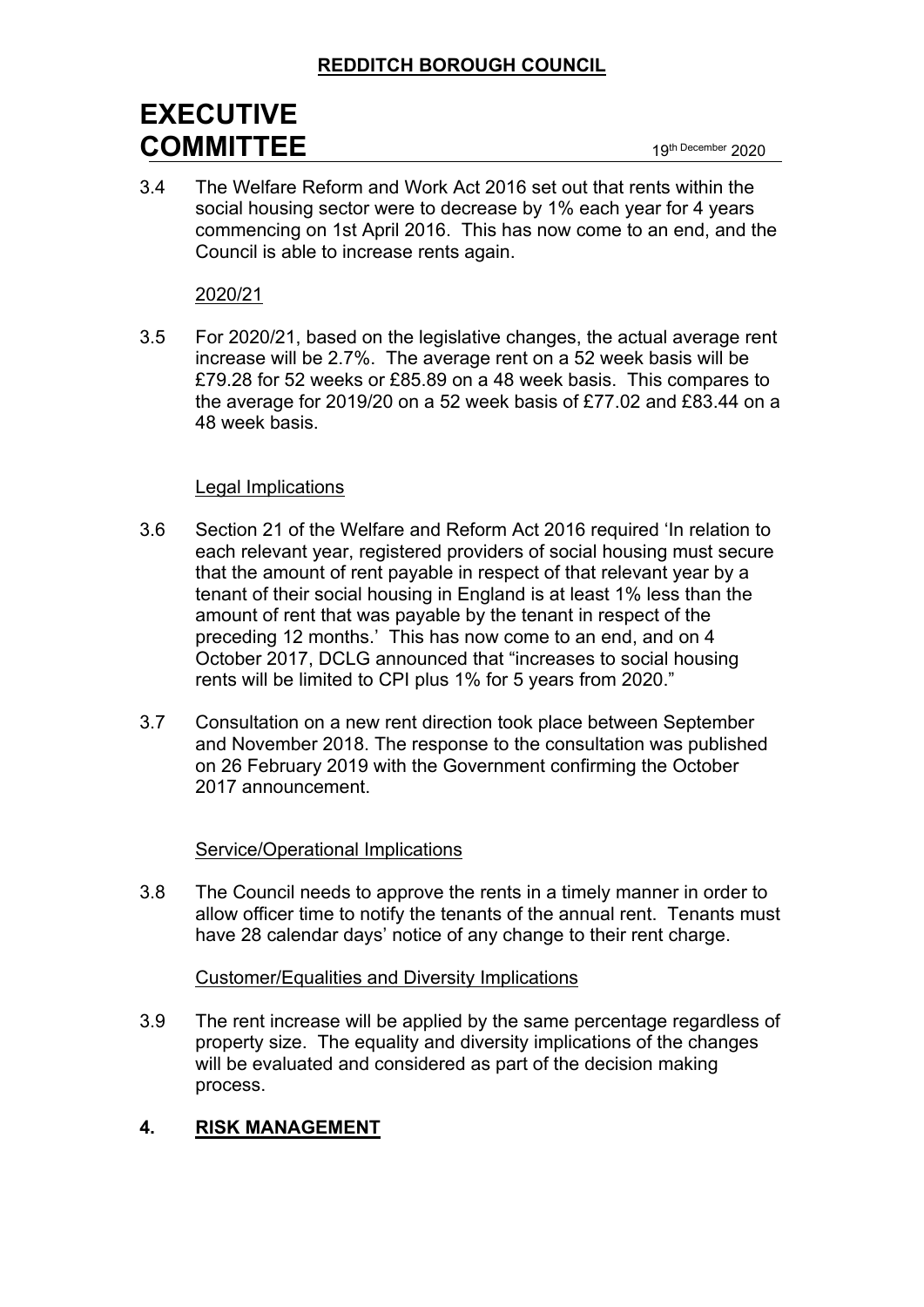# **EXECUTIVE COMMITTEE** <sup>19</sup>th December <sup>2020</sup>

3.4 The Welfare Reform and Work Act 2016 set out that rents within the social housing sector were to decrease by 1% each year for 4 years commencing on 1st April 2016. This has now come to an end, and the Council is able to increase rents again.

#### 2020/21

3.5 For 2020/21, based on the legislative changes, the actual average rent increase will be 2.7%. The average rent on a 52 week basis will be £79.28 for 52 weeks or £85.89 on a 48 week basis. This compares to the average for 2019/20 on a 52 week basis of £77.02 and £83.44 on a 48 week basis.

#### Legal Implications

- 3.6 Section 21 of the Welfare and Reform Act 2016 required 'In relation to each relevant year, registered providers of social housing must secure that the amount of rent payable in respect of that relevant year by a tenant of their social housing in England is at least 1% less than the amount of rent that was payable by the tenant in respect of the preceding 12 months.' This has now come to an end, and on 4 October 2017, DCLG [announced](https://www.gov.uk/government/news/2-billion-boost-for-affordable-housing-and-long-term-deal-for-social-rent) that "increases to social housing rents will be limited to CPI plus 1% for 5 years from 2020."
- 3.7 [Consultation](https://assets.publishing.service.gov.uk/government/uploads/system/uploads/attachment_data/file/740299/180912_Rents_for_social_housing_from_2020_to_2021_consultation_document.pdf) on a new rent direction took place between September and November 2018. The response to the consultation was published on 26 February 2019 with the Government confirming the October 2017 announcement.

### Service/Operational Implications

3.8 The Council needs to approve the rents in a timely manner in order to allow officer time to notify the tenants of the annual rent. Tenants must have 28 calendar days' notice of any change to their rent charge.

#### Customer/Equalities and Diversity Implications

3.9 The rent increase will be applied by the same percentage regardless of property size. The equality and diversity implications of the changes will be evaluated and considered as part of the decision making process.

### **4. RISK MANAGEMENT**